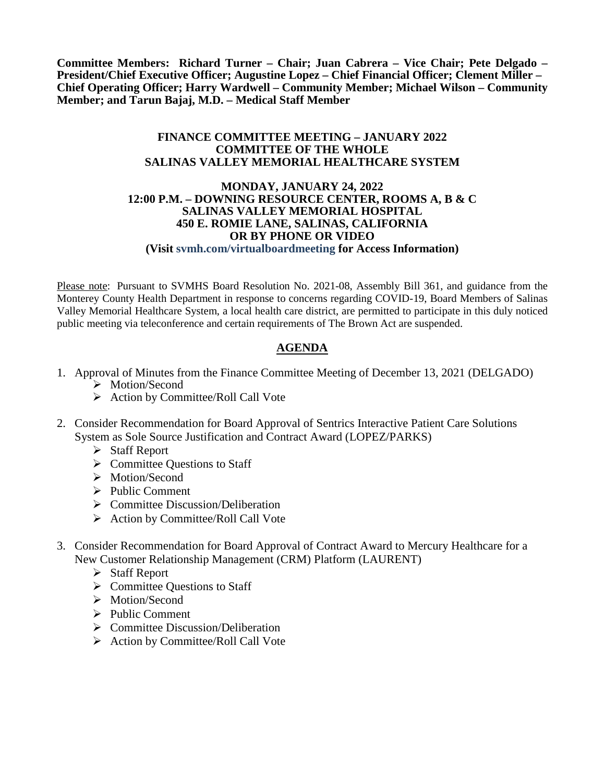**Committee Members: Richard Turner – Chair; Juan Cabrera – Vice Chair; Pete Delgado – President/Chief Executive Officer; Augustine Lopez – Chief Financial Officer; Clement Miller – Chief Operating Officer; Harry Wardwell – Community Member; Michael Wilson – Community Member; and Tarun Bajaj, M.D. – Medical Staff Member**

## **FINANCE COMMITTEE MEETING – JANUARY 2022 COMMITTEE OF THE WHOLE SALINAS VALLEY MEMORIAL HEALTHCARE SYSTEM**

## **MONDAY, JANUARY 24, 2022 12:00 P.M. – DOWNING RESOURCE CENTER, ROOMS A, B & C SALINAS VALLEY MEMORIAL HOSPITAL 450 E. ROMIE LANE, SALINAS, CALIFORNIA OR BY PHONE OR VIDEO (Visit svmh.com/virtualboardmeeting for Access Information)**

Please note: Pursuant to SVMHS Board Resolution No. 2021-08, Assembly Bill 361, and guidance from the Monterey County Health Department in response to concerns regarding COVID-19, Board Members of Salinas Valley Memorial Healthcare System, a local health care district, are permitted to participate in this duly noticed public meeting via teleconference and certain requirements of The Brown Act are suspended.

## **AGENDA**

- 1. Approval of Minutes from the Finance Committee Meeting of December 13, 2021 (DELGADO) > Motion/Second
	- $\triangleright$  Action by Committee/Roll Call Vote
- 2. Consider Recommendation for Board Approval of Sentrics Interactive Patient Care Solutions System as Sole Source Justification and Contract Award (LOPEZ/PARKS)
	- Staff Report
	- $\triangleright$  Committee Questions to Staff
	- > Motion/Second
	- $\triangleright$  Public Comment
	- $\triangleright$  Committee Discussion/Deliberation
	- $\triangleright$  Action by Committee/Roll Call Vote
- 3. Consider Recommendation for Board Approval of Contract Award to Mercury Healthcare for a New Customer Relationship Management (CRM) Platform (LAURENT)
	- Staff Report
	- $\triangleright$  Committee Ouestions to Staff
	- > Motion/Second
	- $\triangleright$  Public Comment
	- $\triangleright$  Committee Discussion/Deliberation
	- $\triangleright$  Action by Committee/Roll Call Vote